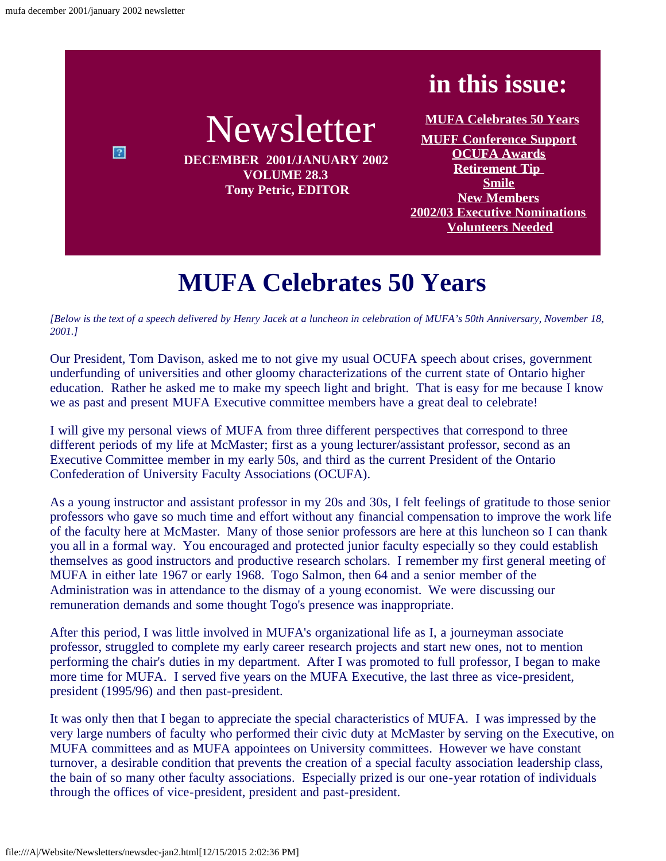

## **MUFA Celebrates 50 Years**

<span id="page-0-0"></span>*[Below is the text of a speech delivered by Henry Jacek at a luncheon in celebration of MUFA's 50th Anniversary, November 18, 2001.]*

Our President, Tom Davison, asked me to not give my usual OCUFA speech about crises, government underfunding of universities and other gloomy characterizations of the current state of Ontario higher education. Rather he asked me to make my speech light and bright. That is easy for me because I know we as past and present MUFA Executive committee members have a great deal to celebrate!

I will give my personal views of MUFA from three different perspectives that correspond to three different periods of my life at McMaster; first as a young lecturer/assistant professor, second as an Executive Committee member in my early 50s, and third as the current President of the Ontario Confederation of University Faculty Associations (OCUFA).

As a young instructor and assistant professor in my 20s and 30s, I felt feelings of gratitude to those senior professors who gave so much time and effort without any financial compensation to improve the work life of the faculty here at McMaster. Many of those senior professors are here at this luncheon so I can thank you all in a formal way. You encouraged and protected junior faculty especially so they could establish themselves as good instructors and productive research scholars. I remember my first general meeting of MUFA in either late 1967 or early 1968. Togo Salmon, then 64 and a senior member of the Administration was in attendance to the dismay of a young economist. We were discussing our remuneration demands and some thought Togo's presence was inappropriate.

After this period, I was little involved in MUFA's organizational life as I, a journeyman associate professor, struggled to complete my early career research projects and start new ones, not to mention performing the chair's duties in my department. After I was promoted to full professor, I began to make more time for MUFA. I served five years on the MUFA Executive, the last three as vice-president, president (1995/96) and then past-president.

It was only then that I began to appreciate the special characteristics of MUFA. I was impressed by the very large numbers of faculty who performed their civic duty at McMaster by serving on the Executive, on MUFA committees and as MUFA appointees on University committees. However we have constant turnover, a desirable condition that prevents the creation of a special faculty association leadership class, the bain of so many other faculty associations. Especially prized is our one-year rotation of individuals through the offices of vice-president, president and past-president.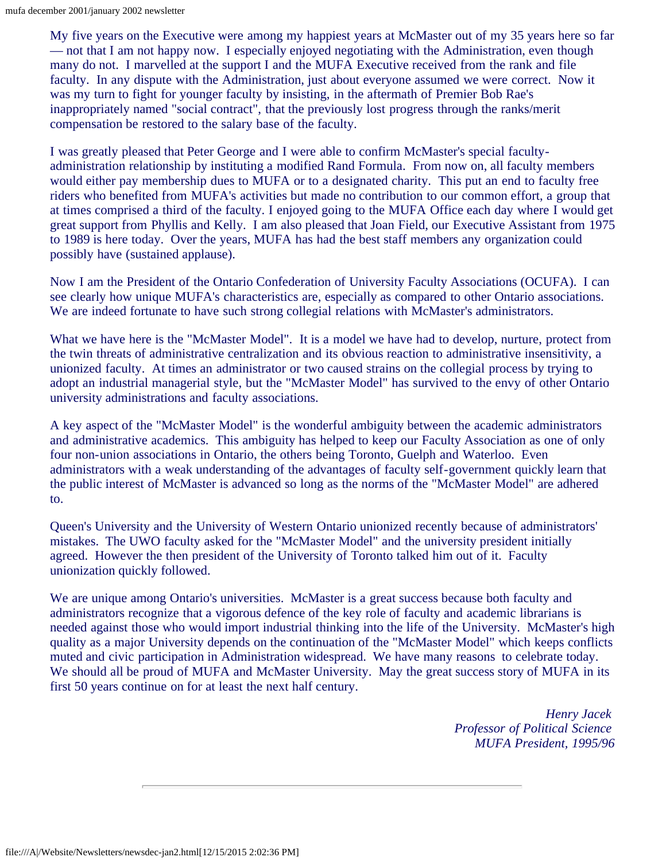My five years on the Executive were among my happiest years at McMaster out of my 35 years here so far — not that I am not happy now. I especially enjoyed negotiating with the Administration, even though many do not. I marvelled at the support I and the MUFA Executive received from the rank and file faculty. In any dispute with the Administration, just about everyone assumed we were correct. Now it was my turn to fight for younger faculty by insisting, in the aftermath of Premier Bob Rae's inappropriately named "social contract", that the previously lost progress through the ranks/merit compensation be restored to the salary base of the faculty.

I was greatly pleased that Peter George and I were able to confirm McMaster's special facultyadministration relationship by instituting a modified Rand Formula. From now on, all faculty members would either pay membership dues to MUFA or to a designated charity. This put an end to faculty free riders who benefited from MUFA's activities but made no contribution to our common effort, a group that at times comprised a third of the faculty. I enjoyed going to the MUFA Office each day where I would get great support from Phyllis and Kelly. I am also pleased that Joan Field, our Executive Assistant from 1975 to 1989 is here today. Over the years, MUFA has had the best staff members any organization could possibly have (sustained applause).

Now I am the President of the Ontario Confederation of University Faculty Associations (OCUFA). I can see clearly how unique MUFA's characteristics are, especially as compared to other Ontario associations. We are indeed fortunate to have such strong collegial relations with McMaster's administrators.

What we have here is the "McMaster Model". It is a model we have had to develop, nurture, protect from the twin threats of administrative centralization and its obvious reaction to administrative insensitivity, a unionized faculty. At times an administrator or two caused strains on the collegial process by trying to adopt an industrial managerial style, but the "McMaster Model" has survived to the envy of other Ontario university administrations and faculty associations.

A key aspect of the "McMaster Model" is the wonderful ambiguity between the academic administrators and administrative academics. This ambiguity has helped to keep our Faculty Association as one of only four non-union associations in Ontario, the others being Toronto, Guelph and Waterloo. Even administrators with a weak understanding of the advantages of faculty self-government quickly learn that the public interest of McMaster is advanced so long as the norms of the "McMaster Model" are adhered to.

Queen's University and the University of Western Ontario unionized recently because of administrators' mistakes. The UWO faculty asked for the "McMaster Model" and the university president initially agreed. However the then president of the University of Toronto talked him out of it. Faculty unionization quickly followed.

We are unique among Ontario's universities. McMaster is a great success because both faculty and administrators recognize that a vigorous defence of the key role of faculty and academic librarians is needed against those who would import industrial thinking into the life of the University. McMaster's high quality as a major University depends on the continuation of the "McMaster Model" which keeps conflicts muted and civic participation in Administration widespread. We have many reasons to celebrate today. We should all be proud of MUFA and McMaster University. May the great success story of MUFA in its first 50 years continue on for at least the next half century.

> *Henry Jacek Professor of Political Science MUFA President, 1995/96*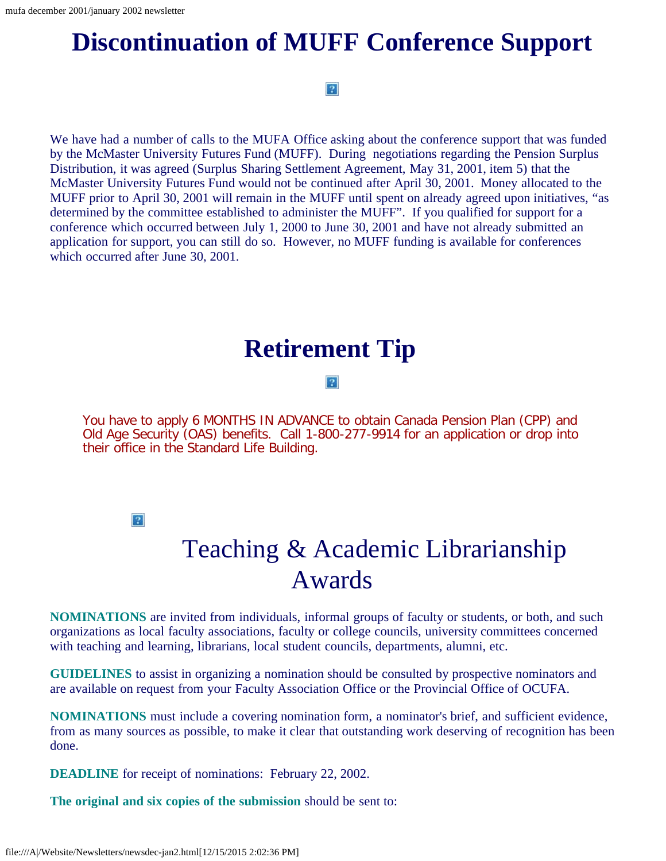### <span id="page-2-0"></span>**Discontinuation of MUFF Conference Support**

#### $|2\rangle$

We have had a number of calls to the MUFA Office asking about the conference support that was funded by the McMaster University Futures Fund (MUFF). During negotiations regarding the Pension Surplus Distribution, it was agreed (Surplus Sharing Settlement Agreement, May 31, 2001, item 5) that the McMaster University Futures Fund would not be continued after April 30, 2001. Money allocated to the MUFF prior to April 30, 2001 will remain in the MUFF until spent on already agreed upon initiatives, "as determined by the committee established to administer the MUFF". If you qualified for support for a conference which occurred between July 1, 2000 to June 30, 2001 and have not already submitted an application for support, you can still do so. However, no MUFF funding is available for conferences which occurred after June 30, 2001.

### **Retirement Tip**

#### $|2|$

<span id="page-2-2"></span>You have to apply 6 MONTHS IN ADVANCE to obtain Canada Pension Plan (CPP) and Old Age Security (OAS) benefits. Call 1-800-277-9914 for an application or drop into their office in the Standard Life Building.

#### $\left|2\right\rangle$

## Teaching & Academic Librarianship Awards

<span id="page-2-1"></span>**NOMINATIONS** are invited from individuals, informal groups of faculty or students, or both, and such organizations as local faculty associations, faculty or college councils, university committees concerned with teaching and learning, librarians, local student councils, departments, alumni, etc.

**GUIDELINES** to assist in organizing a nomination should be consulted by prospective nominators and are available on request from your Faculty Association Office or the Provincial Office of OCUFA.

**NOMINATIONS** must include a covering nomination form, a nominator's brief, and sufficient evidence, from as many sources as possible, to make it clear that outstanding work deserving of recognition has been done.

**DEADLINE** for receipt of nominations: February 22, 2002.

**The original and six copies of the submission** should be sent to: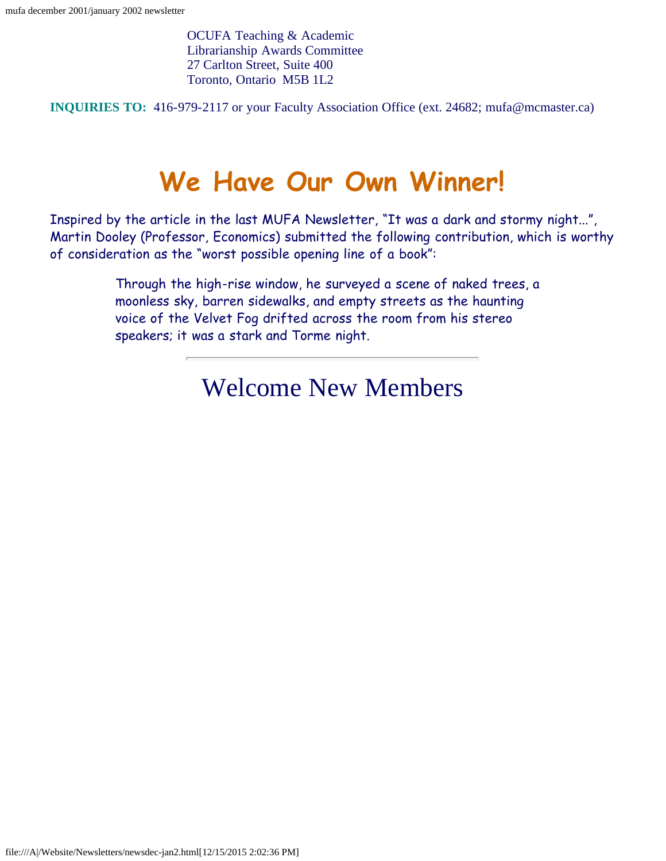OCUFA Teaching & Academic Librarianship Awards Committee 27 Carlton Street, Suite 400 Toronto, Ontario M5B 1L2

**INQUIRIES TO:** 416-979-2117 or your Faculty Association Office (ext. 24682; mufa@mcmaster.ca)

# **We Have Our Own Winner!**

<span id="page-3-0"></span>Inspired by the article in the last MUFA Newsletter, "It was a dark and stormy night...", Martin Dooley (Professor, Economics) submitted the following contribution, which is worthy of consideration as the "worst possible opening line of a book":

> <span id="page-3-1"></span>Through the high-rise window, he surveyed a scene of naked trees, a moonless sky, barren sidewalks, and empty streets as the haunting voice of the Velvet Fog drifted across the room from his stereo speakers; it was a stark and Torme night.

## Welcome New Members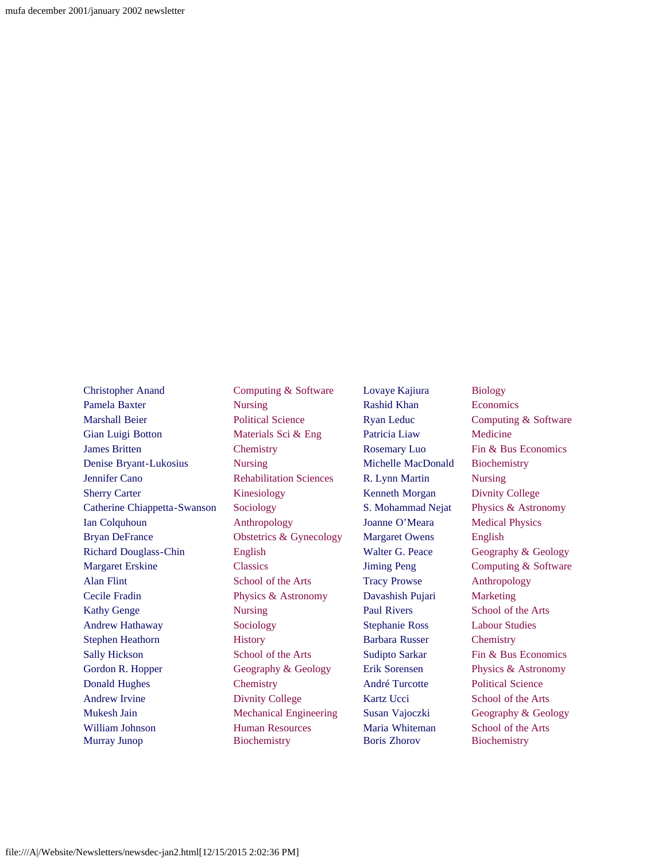Christopher Anand Pamela Baxter Marshall Beier Gian Luigi Botton James Britten Denise Bryant-Lukosius Jennifer Cano Sherry Carter Catherine Chiappetta-Swanson Ian Colquhoun Bryan DeFrance Richard Douglass-Chin Margaret Erskine Alan Flint Cecile Fradin Kathy Genge Andrew Hathaway Stephen Heathorn Sally Hickson Gordon R. Hopper Donald Hughes Andrew Irvine Mukesh Jain William Johnson Murray Junop

Computing & Software Nursing Political Science Materials Sci & Eng **Chemistry** Nursing Rehabilitation Sciences Kinesiology Sociology Anthropology Obstetrics & Gynecology English Classics School of the Arts Physics & Astronomy Nursing Sociology **History** School of the Arts Geography & Geology **Chemistry** Divnity College Mechanical Engineering Human Resources Biochemistry

Lovaye Kajiura Rashid Khan Ryan Leduc Patricia Liaw Rosemary Luo Michelle MacDonald R. Lynn Martin Kenneth Morgan S. Mohammad Nejat Joanne O'Meara Margaret Owens Walter G. Peace Jiming Peng Tracy Prowse Davashish Pujari Paul Rivers Stephanie Ross Barbara Russer Sudipto Sarkar Erik Sorensen André Turcotte Kartz Ucci Susan Vajoczki Maria Whiteman Boris Zhorov

Biology **Economics** Computing & Software Medicine Fin & Bus Economics Biochemistry Nursing Divnity College Physics & Astronomy Medical Physics English Geography & Geology Computing & Software Anthropology Marketing School of the Arts Labour Studies **Chemistry** Fin & Bus Economics Physics & Astronomy Political Science School of the Arts Geography & Geology School of the Arts **Biochemistry**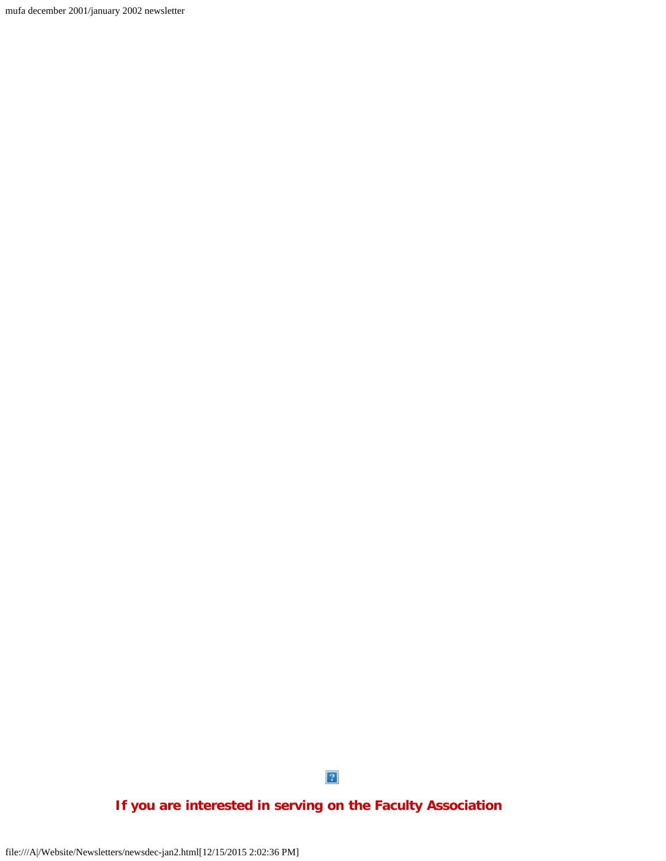mufa december 2001/january 2002 newsletter

 $\left| \cdot \right\rangle$ 

### <span id="page-5-0"></span>**If you are interested in serving on the Faculty Association**